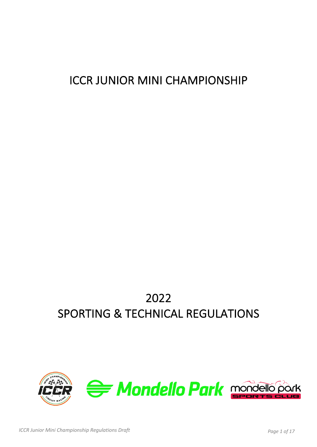# ICCR JUNIOR MINI CHAMPIONSHIP

# 2022 SPORTING & TECHNICAL REGULATIONS

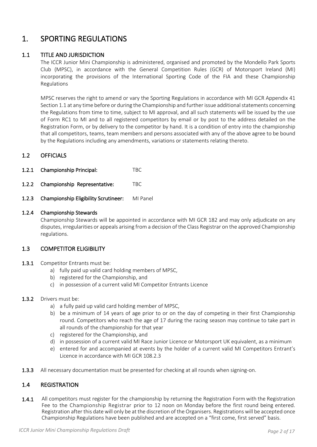# 1 SPORTING REGULATIONS

# 1.1 TITLE AND JURISDICTION

 The ICCR Junior Mini Championship is administered, organised and promoted by the Mondello Park Sports Club (MPSC), in accordance with the General Competition Rules (GCR) of Motorsport Ireland (MI) incorporating the provisions of the International Sporting Code of the FIA and these Championship Regulations

 MPSC reserves the right to amend or vary the Sporting Regulations in accordance with MI GCR Appendix 41 Section 1.1 at any time before or during the Championship and further issue additional statements concerning the Regulations from time to time, subject to MI approval, and all such statements will be issued by the use of Form RC1 to MI and to all registered competitors by email or by post to the address detailed on the Registration Form, or by delivery to the competitor by hand. It is a condition of entry into the championship that all competitors, teams, team members and persons associated with any of the above agree to be bound by the Regulations including any amendments, variations or statements relating thereto.

# 1.2 OFFICIALS

- 1.2.1 Championship Principal: TBC
- 1.2.2 Championship Representative: TBC
- 1.2.3 Championship Eligibility Scrutineer: MI Panel

#### 1.2.4 Championship Stewards

 Championship Stewards will be appointed in accordance with MI GCR 182 and may only adjudicate on any disputes, irregularities or appeals arising from a decision of the Class Registrar on the approved Championship regulations.

# 1.3 COMPETITOR ELIGIBILITY

- 1.3.1 Competitor Entrants must be:
	- a) fully paid up valid card holding members of MPSC,
	- b) registered for the Championship, and
	- c) in possession of a current valid MI Competitor Entrants Licence

#### 1.3.2 Drivers must be:

- a) a fully paid up valid card holding member of MPSC,
- b) be a minimum of 14 years of age prior to or on the day of competing in their first Championship round. Competitors who reach the age of 17 during the racing season may continue to take part in all rounds of the championship for that year
- c) registered for the Championship, and
- d) in possession of a current valid MI Race Junior Licence or Motorsport UK equivalent, as a minimum
- e) entered for and accompanied at events by the holder of a current valid MI Competitors Entrant's Licence in accordance with MI GCR 108.2.3
- 1.3.3 All necessary documentation must be presented for checking at all rounds when signing-on.

# 1.4 REGISTRATION

1.4.1 All competitors must register for the championship by returning the Registration Form with the Registration Fee to the Championship Registrar prior to 12 noon on Monday before the first round being entered. Registration after this date will only be at the discretion of the Organisers. Registrations will be accepted once Championship Regulations have been published and are accepted on a "first come, first served" basis.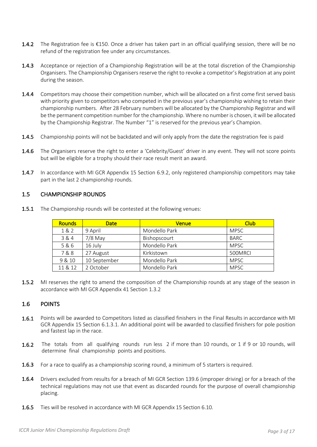- **1.4.2** The Registration fee is €150. Once a driver has taken part in an official qualifying session, there will be no refund of the registration fee under any circumstances.
- 1.4.3 Acceptance or rejection of a Championship Registration will be at the total discretion of the Championship Organisers. The Championship Organisers reserve the right to revoke a competitor's Registration at any point during the season.
- 1.4.4 Competitors may choose their competition number, which will be allocated on a first come first served basis with priority given to competitors who competed in the previous year's championship wishing to retain their championship numbers. After 28 February numbers will be allocated by the Championship Registrar and will be the permanent competition number for the championship. Where no number is chosen, it will be allocated by the Championship Registrar. The Number "1" is reserved for the previous year's Champion.
- 1.4.5 Championship points will not be backdated and will only apply from the date the registration fee is paid
- 1.4.6 The Organisers reserve the right to enter a 'Celebrity/Guest' driver in any event. They will not score points but will be eligible for a trophy should their race result merit an award.
- 1.4.7 In accordance with MI GCR Appendix 15 Section 6.9.2, only registered championship competitors may take part in the last 2 championship rounds.

# 1.5 CHAMPIONSHIP ROUNDS

| <b>Rounds</b> | <b>Date</b>  | Venue         | <b>Club</b> |
|---------------|--------------|---------------|-------------|
| 1&2           | 9 April      | Mondello Park | <b>MPSC</b> |
| 3 & 4         | $7/8$ May    | Bishopscourt  | BARC        |
| 5&6           | 16 July      | Mondello Park | <b>MPSC</b> |
| 7&8           | 27 August    | Kirkistown    | 500MRCI     |
| 9 & 10        | 10 September | Mondello Park | <b>MPSC</b> |
| 11 & 12       | 2 October    | Mondello Park | <b>MPSC</b> |

1.5.1 The Championship rounds will be contested at the following venues:

1.5.2 MI reserves the right to amend the composition of the Championship rounds at any stage of the season in accordance with MI GCR Appendix 41 Section 1.3.2

# 1.6 POINTS

- 1.6.1 Points will be awarded to Competitors listed as classified finishers in the Final Results in accordance with MI GCR Appendix 15 Section 6.1.3.1. An additional point will be awarded to classified finishers for pole position and fastest lap in the race.
- 1.6.2 The totals from all qualifying rounds run less 2 if more than 10 rounds, or 1 if 9 or 10 rounds, will determine final championship points and positions.
- 1.6.3 For a race to qualify as a championship scoring round, a minimum of 5 starters is required.
- 1.6.4 Drivers excluded from results for a breach of MI GCR Section 139.6 (improper driving) or for a breach of the technical regulations may not use that event as discarded rounds for the purpose of overall championship placing.
- 1.6.5 Ties will be resolved in accordance with MI GCR Appendix 15 Section 6.10.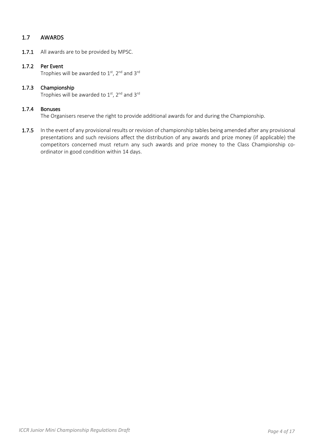# 1.7 AWARDS

1.7.1 All awards are to be provided by MPSC.

#### 1.7.2 Per Event

Trophies will be awarded to  $1<sup>st</sup>$ ,  $2<sup>nd</sup>$  and  $3<sup>rd</sup>$ 

#### 1.7.3 Championship Trophies will be awarded to  $1<sup>st</sup>$ , 2<sup>nd</sup> and 3<sup>rd</sup>

#### 1.7.4 Bonuses

The Organisers reserve the right to provide additional awards for and during the Championship.

1.7.5 In the event of any provisional results or revision of championship tables being amended after any provisional presentations and such revisions affect the distribution of any awards and prize money (if applicable) the competitors concerned must return any such awards and prize money to the Class Championship coordinator in good condition within 14 days.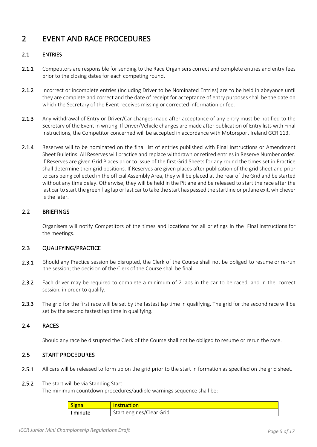# 2 EVENT AND RACE PROCEDURES

# 2.1 ENTRIES

- 2.1.1 Competitors are responsible for sending to the Race Organisers correct and complete entries and entry fees prior to the closing dates for each competing round.
- 2.1.2 Incorrect or incomplete entries (including Driver to be Nominated Entries) are to be held in abeyance until they are complete and correct and the date of receipt for acceptance of entry purposes shall be the date on which the Secretary of the Event receives missing or corrected information or fee.
- 2.1.3 Any withdrawal of Entry or Driver/Car changes made after acceptance of any entry must be notified to the Secretary of the Event in writing. If Driver/Vehicle changes are made after publication of Entry lists with Final Instructions, the Competitor concerned will be accepted in accordance with Motorsport Ireland GCR 113.
- 2.1.4 Reserves will to be nominated on the final list of entries published with Final Instructions or Amendment Sheet Bulletins. All Reserves will practice and replace withdrawn or retired entries in Reserve Number order. If Reserves are given Grid Places prior to issue of the first Grid Sheets for any round the times set in Practice shall determine their grid positions. If Reserves are given places after publication of the grid sheet and prior to cars being collected in the official Assembly Area, they will be placed at the rear of the Grid and be started without any time delay. Otherwise, they will be held in the Pitlane and be released to start the race after the last car to start the green flag lap or last car to take the start has passed the startline or pitlane exit, whichever is the later.

# 2.2 BRIEFINGS

 Organisers will notify Competitors of the times and locations for all briefings in the Final Instructions for the meetings.

# 2.3 QUALIFYING/PRACTICE

- 2.3.1 Should any Practice session be disrupted, the Clerk of the Course shall not be obliged to resume or re-run the session; the decision of the Clerk of the Course shall be final.
- 2.3.2 Each driver may be required to complete a minimum of 2 laps in the car to be raced, and in the correct session, in order to qualify.
- 2.3.3 The grid for the first race will be set by the fastest lap time in qualifying. The grid for the second race will be set by the second fastest lap time in qualifying.

# 2.4 RACES

Should any race be disrupted the Clerk of the Course shall not be obliged to resume or rerun the race.

# 2.5 START PROCEDURES

2.5.1 All cars will be released to form up on the grid prior to the start in formation as specified on the grid sheet.

#### 2.5.2 The start will be via Standing Start.

The minimum countdown procedures/audible warnings sequence shall be:

| siσn:  |                      |
|--------|----------------------|
| $\sim$ | engines/Clear Grid : |
| מזווחי | $\sim$               |
|        | - Start i            |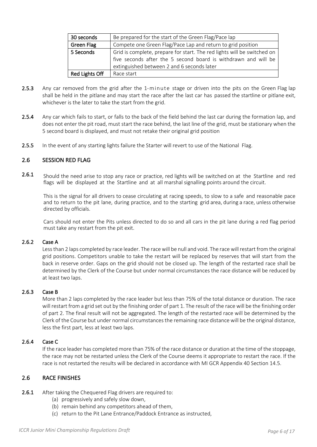| 30 seconds     | Be prepared for the start of the Green Flag/Pace lap                    |
|----------------|-------------------------------------------------------------------------|
| Green Flag     | Compete one Green Flag/Pace Lap and return to grid position             |
| 5 Seconds      | Grid is complete, prepare for start. The red lights will be switched on |
|                | five seconds after the 5 second board is withdrawn and will be          |
|                | extinguished between 2 and 6 seconds later                              |
| Red Lights Off | Race start                                                              |

- 2.5.3 Any car removed from the grid after the 1-minute stage or driven into the pits on the Green Flag lap shall be held in the pitlane and may start the race after the last car has passed the startline or pitlane exit, whichever is the later to take the start from the grid.
- 2.5.4 Any car which fails to start, or falls to the back of the field behind the last car during the formation lap, and does not enter the pit road, must start the race behind, the last line of the grid, must be stationary when the 5 second board is displayed, and must not retake their original grid position
- 2.5.5 In the event of any starting lights failure the Starter will revert to use of the National Flag.

# 2.6 SESSION RED FLAG

2.6.1 Should the need arise to stop any race or practice, red lights will be switched on at the Startline and red flags will be displayed at the Startline and at all marshal signalling points around the circuit.

This is the signal for all drivers to cease circulating at racing speeds, to slow to a safe and reasonable pace and to return to the pit lane, during practice, and to the starting grid area, during a race, unless otherwise directed by officials.

Cars should not enter the Pits unless directed to do so and all cars in the pit lane during a red flag period must take any restart from the pit exit.

# 2.6.2 Case A

 Less than 2 laps completed by race leader. The race will be null and void. The race will restart from the original grid positions. Competitors unable to take the restart will be replaced by reserves that will start from the back in reserve order. Gaps on the grid should not be closed up. The length of the restarted race shall be determined by the Clerk of the Course but under normal circumstances the race distance will be reduced by at least two laps.

# 2.6.3 Case B

 More than 2 laps completed by the race leader but less than 75% of the total distance or duration. The race will restart from a grid set out by the finishing order of part 1. The result of the race will be the finishing order of part 2. The final result will not be aggregated. The length of the restarted race will be determined by the Clerk of the Course but under normal circumstances the remaining race distance will be the original distance, less the first part, less at least two laps.

# 2.6.4 Case C

 If the race leader has completed more than 75% of the race distance or duration at the time of the stoppage, the race may not be restarted unless the Clerk of the Course deems it appropriate to restart the race. If the race is not restarted the results will be declared in accordance with MI GCR Appendix 40 Section 14.5.

# 2.6 RACE FINISHES

# 2.6.1 After taking the Chequered Flag drivers are required to:

- (a) progressively and safely slow down,
- (b) remain behind any competitors ahead of them,
- (c) return to the Pit Lane Entrance/Paddock Entrance as instructed,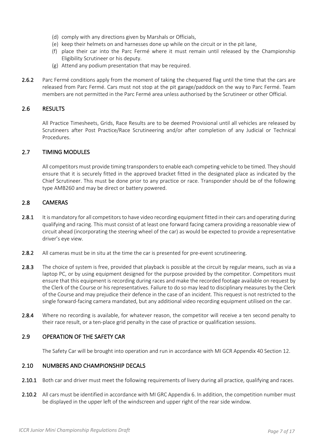- (d) comply with any directions given by Marshals or Officials,
- (e) keep their helmets on and harnesses done up while on the circuit or in the pit lane,
- (f) place their car into the Parc Fermé where it must remain until released by the Championship Eligibility Scrutineer or his deputy.
- (g) Attend any podium presentation that may be required.
- 2.6.2 Parc Fermé conditions apply from the moment of taking the chequered flag until the time that the cars are released from Parc Fermé. Cars must not stop at the pit garage/paddock on the way to Parc Fermé. Team members are not permitted in the Parc Fermé area unless authorised by the Scrutineer or other Official.

# 2.6 RESULTS

 All Practice Timesheets, Grids, Race Results are to be deemed Provisional until all vehicles are released by Scrutineers after Post Practice/Race Scrutineering and/or after completion of any Judicial or Technical Procedures.

#### 2.7 TIMING MODULES

 All competitors must provide timing transponders to enable each competing vehicle to be timed. They should ensure that it is securely fitted in the approved bracket fitted in the designated place as indicated by the Chief Scrutineer. This must be done prior to any practice or race. Transponder should be of the following type AMB260 and may be direct or battery powered.

#### 2.8 CAMERAS

- 2.8.1 It is mandatory for all competitors to have video recording equipment fitted in their cars and operating during qualifying and racing. This must consist of at least one forward facing camera providing a reasonable view of circuit ahead (incorporating the steering wheel of the car) as would be expected to provide a representative driver's eye view.
- 2.8.2 All cameras must be in situ at the time the car is presented for pre-event scrutineering.
- 2.8.3 The choice of system is free, provided that playback is possible at the circuit by regular means, such as via a laptop PC, or by using equipment designed for the purpose provided by the competitor. Competitors must ensure that this equipment is recording during races and make the recorded footage available on request by the Clerk of the Course or his representatives. Failure to do so may lead to disciplinary measures by the Clerk of the Course and may prejudice their defence in the case of an incident. This request is not restricted to the single forward-facing camera mandated, but any additional video recording equipment utilised on the car.
- 2.8.4 Where no recording is available, for whatever reason, the competitor will receive a ten second penalty to their race result, or a ten-place grid penalty in the case of practice or qualification sessions.

# 2.9 OPERATION OF THE SAFETY CAR

The Safety Car will be brought into operation and run in accordance with MI GCR Appendix 40 Section 12.

#### 2.10 NUMBERS AND CHAMPIONSHIP DECALS

- 2.10.1 Both car and driver must meet the following requirements of livery during all practice, qualifying and races.
- 2.10.2 All cars must be identified in accordance with MI GRC Appendix 6. In addition, the competition number must be displayed in the upper left of the windscreen and upper right of the rear side window.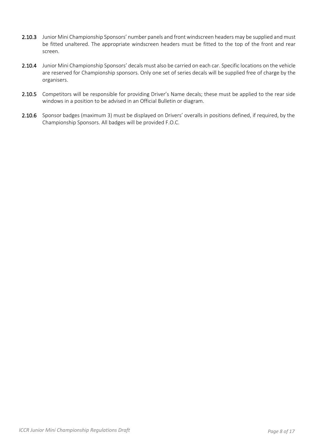- 2.10.3 Junior Mini Championship Sponsors' number panels and front windscreen headers may be supplied and must be fitted unaltered. The appropriate windscreen headers must be fitted to the top of the front and rear screen.
- 2.10.4 Junior Mini Championship Sponsors' decals must also be carried on each car. Specific locations on the vehicle are reserved for Championship sponsors. Only one set of series decals will be supplied free of charge by the organisers.
- 2.10.5 Competitors will be responsible for providing Driver's Name decals; these must be applied to the rear side windows in a position to be advised in an Official Bulletin or diagram.
- 2.10.6 Sponsor badges (maximum 3) must be displayed on Drivers' overalls in positions defined, if required, by the Championship Sponsors. All badges will be provided F.O.C.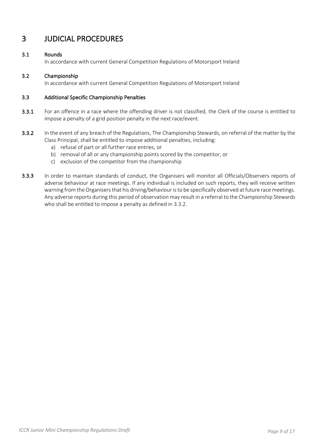# 3 JUDICIAL PROCEDURES

# 3.1 Rounds

In accordance with current General Competition Regulations of Motorsport Ireland

# 3.2 Championship

In accordance with current General Competition Regulations of Motorsport Ireland

### 3.3 Additional Specific Championship Penalties

- 3.3.1 For an offence in a race where the offending driver is not classified, the Clerk of the course is entitled to impose a penalty of a grid position penalty in the next race/event.
- 3.3.2 In the event of any breach of the Regulations, The Championship Stewards, on referral of the matter by the Class Principal, shall be entitled to impose additional penalties, including:
	- a) refusal of part or all further race entries, or
	- b) removal of all or any championship points scored by the competitor, or
	- c) exclusion of the competitor from the championship
- 3.3.3 In order to maintain standards of conduct, the Organisers will monitor all Officials/Observers reports of adverse behaviour at race meetings. If any individual is included on such reports, they will receive written warning from the Organisers that his driving/behaviour is to be specifically observed at future race meetings. Any adverse reports during this period of observation may result in a referral to the Championship Stewards who shall be entitled to impose a penalty as defined in 3.3.2.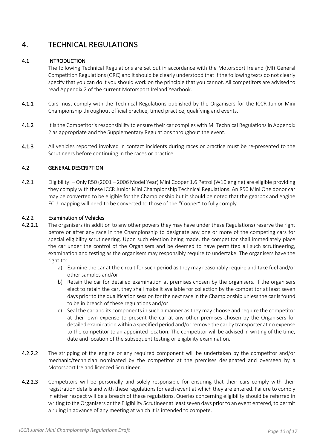# 4. TECHNICAL REGULATIONS

# 4.1 INTRODUCTION

 The following Technical Regulations are set out in accordance with the Motorsport Ireland (MI) General Competition Regulations (GRC) and it should be clearly understood that if the following texts do not clearly specify that you can do it you should work on the principle that you cannot. All competitors are advised to read Appendix 2 of the current Motorsport Ireland Yearbook.

- 4.1.1 Cars must comply with the Technical Regulations published by the Organisers for the ICCR Junior Mini Championship throughout official practice, timed practice, qualifying and events.
- 4.1.2 It is the Competitor's responsibility to ensure their car complies with MI Technical Regulations in Appendix 2 as appropriate and the Supplementary Regulations throughout the event.
- 4.1.3 All vehicles reported involved in contact incidents during races or practice must be re-presented to the Scrutineers before continuing in the races or practice.

# 4.2 GENERAL DESCRIPTION

4.2.1 Eligibility: – Only R50 (2001 – 2006 Model Year) Mini Cooper 1.6 Petrol (W10 engine) are eligible providing they comply with these ICCR Junior Mini Championship Technical Regulations. An R50 Mini One donor car may be converted to be eligible for the Championship but it should be noted that the gearbox and engine ECU mapping will need to be converted to those of the "Cooper" to fully comply.

#### 4.2.2 Examination of Vehicles

- 4.2.2.1 The organisers (in addition to any other powers they may have under these Regulations) reserve the right before or after any race in the Championship to designate any one or more of the competing cars for special eligibility scrutineering. Upon such election being made, the competitor shall immediately place the car under the control of the Organisers and be deemed to have permitted all such scrutineering, examination and testing as the organisers may responsibly require to undertake. The organisers have the right to:
	- a) Examine the car at the circuit for such period as they may reasonably require and take fuel and/or other samples and/or
	- b) Retain the car for detailed examination at premises chosen by the organisers. If the organisers elect to retain the car, they shall make it available for collection by the competitor at least seven days prior to the qualification session for the next race in the Championship unless the car is found to be in breach of these regulations and/or
	- c) Seal the car and its components in such a manner as they may choose and require the competitor at their own expense to present the car at any other premises chosen by the Organisers for detailed examination within a specified period and/or remove the car by transporter at no expense to the competitor to an appointed location. The competitor will be advised in writing of the time, date and location of the subsequent testing or eligibility examination.
- 4.2.2.2 The stripping of the engine or any required component will be undertaken by the competitor and/or mechanic/technician nominated by the competitor at the premises designated and overseen by a Motorsport Ireland licenced Scrutineer.
- 4.2.2.3 Competitors will be personally and solely responsible for ensuring that their cars comply with their registration details and with these regulations for each event at which they are entered. Failure to comply in either respect will be a breach of these regulations. Queries concerning eligibility should be referred in writing to the Organisers or the Eligibility Scrutineer at least seven days prior to an event entered, to permit a ruling in advance of any meeting at which it is intended to compete.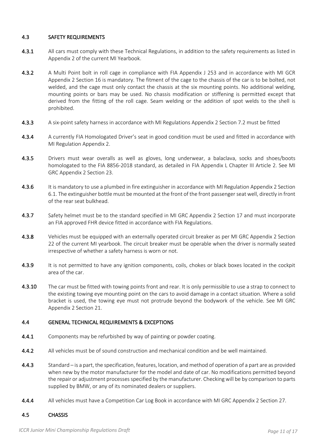### 4.3 SAFETY REQUIREMENTS

- 4.3.1 All cars must comply with these Technical Regulations, in addition to the safety requirements as listed in Appendix 2 of the current MI Yearbook.
- 4.3.2 A Multi Point bolt in roll cage in compliance with FIA Appendix J 253 and in accordance with MI GCR Appendix 2 Section 16 is mandatory. The fitment of the cage to the chassis of the car is to be bolted, not welded, and the cage must only contact the chassis at the six mounting points. No additional welding, mounting points or bars may be used. No chassis modification or stiffening is permitted except that derived from the fitting of the roll cage. Seam welding or the addition of spot welds to the shell is prohibited.
- 4.3.3 A six-point safety harness in accordance with MI Regulations Appendix 2 Section 7.2 must be fitted
- 4.3.4 A currently FIA Homologated Driver's seat in good condition must be used and fitted in accordance with MI Regulation Appendix 2.
- 4.3.5 Drivers must wear overalls as well as gloves, long underwear, a balaclava, socks and shoes/boots homologated to the FIA 8856-2018 standard, as detailed in FIA Appendix L Chapter III Article 2. See MI GRC Appendix 2 Section 23.
- 4.3.6 It is mandatory to use a plumbed in fire extinguisher in accordance with MI Regulation Appendix 2 Section 6.1. The extinguisher bottle must be mounted at the front of the front passenger seat well, directly in front of the rear seat bulkhead.
- 4.3.7 Safety helmet must be to the standard specified in MI GRC Appendix 2 Section 17 and must incorporate an FIA approved FHR device fitted in accordance with FIA Regulations.
- 4.3.8 Vehicles must be equipped with an externally operated circuit breaker as per MI GRC Appendix 2 Section 22 of the current MI yearbook. The circuit breaker must be operable when the driver is normally seated irrespective of whether a safety harness is worn or not.
- 4.3.9 It is not permitted to have any ignition components, coils, chokes or black boxes located in the cockpit area of the car.
- 4.3.10 The car must be fitted with towing points front and rear. It is only permissible to use a strap to connect to the existing towing eye mounting point on the cars to avoid damage in a contact situation. Where a solid bracket is used, the towing eye must not protrude beyond the bodywork of the vehicle. See MI GRC Appendix 2 Section 21.

#### 4.4 GENERAL TECHNICAL REQUIREMENTS & EXCEPTIONS

- 4.4.1 Components may be refurbished by way of painting or powder coating.
- 4.4.2 All vehicles must be of sound construction and mechanical condition and be well maintained.
- 4.4.3 Standard is a part, the specification, features, location, and method of operation of a part are as provided when new by the motor manufacturer for the model and date of car. No modifications permitted beyond the repair or adjustment processes specified by the manufacturer. Checking will be by comparison to parts supplied by BMW, or any of its nominated dealers or suppliers.
- 4.4.4 All vehicles must have a Competition Car Log Book in accordance with MI GRC Appendix 2 Section 27.

#### 4.5 CHASSIS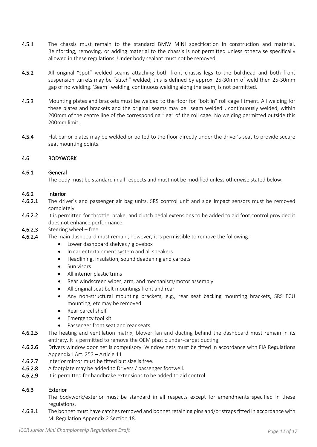- 4.5.1 The chassis must remain to the standard BMW MINI specification in construction and material. Reinforcing, removing, or adding material to the chassis is not permitted unless otherwise specifically allowed in these regulations. Under body sealant must not be removed.
- 4.5.2 All original "spot" welded seams attaching both front chassis legs to the bulkhead and both front suspension turrets may be "stitch" welded; this is defined by approx. 25-30mm of weld then 25-30mm gap of no welding. 'Seam" welding, continuous welding along the seam, is not permitted.
- 4.5.3 Mounting plates and brackets must be welded to the floor for "bolt in" roll cage fitment. All welding for these plates and brackets and the original seams may be "seam welded", continuously welded, within 200mm of the centre line of the corresponding "leg" of the roll cage. No welding permitted outside this 200mm limit.
- 4.5.4 Flat bar or plates may be welded or bolted to the floor directly under the driver's seat to provide secure seat mounting points.

# 4.6 BODYWORK

### 4.6.1 General

The body must be standard in all respects and must not be modified unless otherwise stated below.

#### 4.6.2 Interior

- 4.6.2.1 The driver's and passenger air bag units, SRS control unit and side impact sensors must be removed completely.
- 4.6.2.2 It is permitted for throttle, brake, and clutch pedal extensions to be added to aid foot control provided it does not enhance performance.
- 4.6.2.3 Steering wheel free
- 4.6.2.4 The main dashboard must remain; however, it is permissible to remove the following:
	- Lower dashboard shelves / glovebox
	- In car entertainment system and all speakers
	- Headlining, insulation, sound deadening and carpets
	- Sun visors
	- All interior plastic trims
	- Rear windscreen wiper, arm, and mechanism/motor assembly
	- All original seat belt mountings front and rear
	- Any non-structural mounting brackets, e.g., rear seat backing mounting brackets, SRS ECU mounting, etc may be removed
	- Rear parcel shelf
	- Emergency tool kit
	- Passenger front seat and rear seats.
- 4.6.2.5 The heating and ventilation matrix, blower fan and ducting behind the dashboard must remain in its entirety. It is permitted to remove the OEM plastic under-carpet ducting.
- 4.6.2.6 Drivers window door net is compulsory. Window nets must be fitted in accordance with FIA Regulations Appendix J Art. 253 – Article 11
- 4.6.2.7 Interior mirror must be fitted but size is free.
- 4.6.2.8 A footplate may be added to Drivers / passenger footwell.
- 4.6.2.9 It is permitted for handbrake extensions to be added to aid control

# 4.6.3 Exterior

 The bodywork/exterior must be standard in all respects except for amendments specified in these regulations.

4.6.3.1 The bonnet must have catches removed and bonnet retaining pins and/or straps fitted in accordance with MI Regulation Appendix 2 Section 18.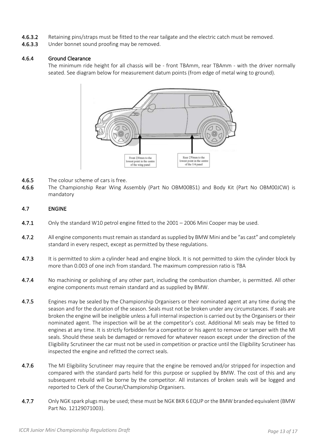- 4.6.3.2 Retaining pins/straps must be fitted to the rear tailgate and the electric catch must be removed.
- 4.6.3.3 Under bonnet sound proofing may be removed.

#### 4.6.4 Ground Clearance

 The minimum ride height for all chassis will be - front TBAmm, rear TBAmm - with the driver normally seated. See diagram below for measurement datum points (from edge of metal wing to ground).



- 4.6.5 The colour scheme of cars is free.
- 4.6.6 The Championship Rear Wing Assembly (Part No OBM00BS1) and Body Kit (Part No OBM00JCW) is mandatory

#### 4.7 ENGINE

- 4.7.1 Only the standard W10 petrol engine fitted to the 2001 2006 Mini Cooper may be used.
- 4.7.2 All engine components must remain as standard as supplied by BMW Mini and be "as cast" and completely standard in every respect, except as permitted by these regulations.
- 4.7.3 It is permitted to skim a cylinder head and engine block. It is not permitted to skim the cylinder block by more than 0.003 of one inch from standard. The maximum compression ratio is TBA
- 4.7.4 No machining or polishing of any other part, including the combustion chamber, is permitted. All other engine components must remain standard and as supplied by BMW.
- 4.7.5 Engines may be sealed by the Championship Organisers or their nominated agent at any time during the season and for the duration of the season. Seals must not be broken under any circumstances. If seals are broken the engine will be ineligible unless a full internal inspection is carried out by the Organisers or their nominated agent. The inspection will be at the competitor's cost. Additional MI seals may be fitted to engines at any time. It is strictly forbidden for a competitor or his agent to remove or tamper with the MI seals. Should these seals be damaged or removed for whatever reason except under the direction of the Eligibility Scrutineer the car must not be used in competition or practice until the Eligibility Scrutineer has inspected the engine and refitted the correct seals.
- 4.7.6 The MI Eligibility Scrutineer may require that the engine be removed and/or stripped for inspection and compared with the standard parts held for this purpose or supplied by BMW. The cost of this and any subsequent rebuild will be borne by the competitor. All instances of broken seals will be logged and reported to Clerk of the Course/Championship Organisers.
- 4.7.7 Only NGK spark plugs may be used; these must be NGK BKR 6 EQUP or the BMW branded equivalent (BMW Part No. 12129071003).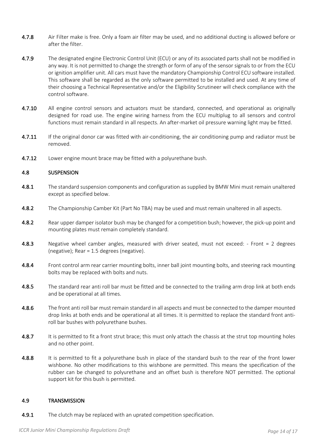- 4.7.8 Air Filter make is free. Only a foam air filter may be used, and no additional ducting is allowed before or after the filter.
- 4.7.9 The designated engine Electronic Control Unit (ECU) or any of its associated parts shall not be modified in any way. It is not permitted to change the strength or form of any of the sensor signals to or from the ECU or ignition amplifier unit. All cars must have the mandatory Championship Control ECU software installed. This software shall be regarded as the only software permitted to be installed and used. At any time of their choosing a Technical Representative and/or the Eligibility Scrutineer will check compliance with the control software.
- 4.7.10 All engine control sensors and actuators must be standard, connected, and operational as originally designed for road use. The engine wiring harness from the ECU multiplug to all sensors and control functions must remain standard in all respects. An after-market oil pressure warning light may be fitted.
- 4.7.11 If the original donor car was fitted with air-conditioning, the air conditioning pump and radiator must be removed.
- **4.7.12** Lower engine mount brace may be fitted with a polyurethane bush.

#### 4.8 SUSPENSION

- 4.8.1 The standard suspension components and configuration as supplied by BMW Mini must remain unaltered except as specified below.
- 4.8.2 The Championship Camber Kit (Part No TBA) may be used and must remain unaltered in all aspects.
- 4.8.2 Rear upper damper isolator bush may be changed for a competition bush; however, the pick-up point and mounting plates must remain completely standard.
- 4.8.3 Negative wheel camber angles, measured with driver seated, must not exceed: - Front = 2 degrees (negative); Rear = 1.5 degrees (negative).
- 4.8.4 Front control arm rear carrier mounting bolts, inner ball joint mounting bolts, and steering rack mounting bolts may be replaced with bolts and nuts.
- 4.8.5 The standard rear anti roll bar must be fitted and be connected to the trailing arm drop link at both ends and be operational at all times.
- 4.8.6 The front anti roll bar must remain standard in all aspects and must be connected to the damper mounted drop links at both ends and be operational at all times. It is permitted to replace the standard front antiroll bar bushes with polyurethane bushes.
- 4.8.7 It is permitted to fit a front strut brace; this must only attach the chassis at the strut top mounting holes and no other point.
- 4.8.8 It is permitted to fit a polyurethane bush in place of the standard bush to the rear of the front lower wishbone. No other modifications to this wishbone are permitted. This means the specification of the rubber can be changed to polyurethane and an offset bush is therefore NOT permitted. The optional support kit for this bush is permitted.

#### 4.9 TRANSMISSION

4.9.1 The clutch may be replaced with an uprated competition specification.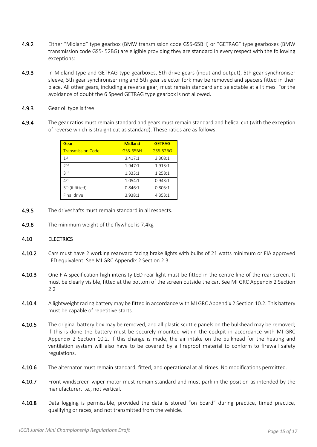- 4.9.2 Either "Midland" type gearbox (BMW transmission code GS5-65BH) or "GETRAG" type gearboxes (BMW transmission code GS5- 52BG) are eligible providing they are standard in every respect with the following exceptions:
- 4.9.3 In Midland type and GETRAG type gearboxes, 5th drive gears (input and output), 5th gear synchroniser sleeve, 5th gear synchroniser ring and 5th gear selector fork may be removed and spacers fitted in their place. All other gears, including a reverse gear, must remain standard and selectable at all times. For the avoidance of doubt the 6 Speed GETRAG type gearbox is not allowed.
- 4.9.3 Gear oil type is free
- 4.9.4 The gear ratios must remain standard and gears must remain standard and helical cut (with the exception of reverse which is straight cut as standard). These ratios are as follows:

| Gear                        | <b>Midland</b>  | <b>GETRAG</b> |
|-----------------------------|-----------------|---------------|
| <b>Transmission Code</b>    | <b>GS5-65BH</b> | GS5-52BG      |
| 1st                         | 3.417:1         | 3.308:1       |
| 2 <sub>nd</sub>             | 1.947:1         | 1.913:1       |
| 2rd                         | 1.333:1         | 1.258:1       |
| 4 <sup>th</sup>             | 1.054:1         | 0.943:1       |
| 5 <sup>th</sup> (if fitted) | 0.846:1         | 0.805:1       |
| Final drive                 | 3.938:1         | 4.353:1       |

- 4.9.5 The driveshafts must remain standard in all respects.
- 4.9.6 The minimum weight of the flywheel is 7.4kg

#### 4.10 ELECTRICS

- 4.10.2 Cars must have 2 working rearward facing brake lights with bulbs of 21 watts minimum or FIA approved LED equivalent. See MI GRC Appendix 2 Section 2.3.
- 4.10.3 One FIA specification high intensity LED rear light must be fitted in the centre line of the rear screen. It must be clearly visible, fitted at the bottom of the screen outside the car. See MI GRC Appendix 2 Section 2.2
- 4.10.4 A lightweight racing battery may be fitted in accordance with MI GRC Appendix 2 Section 10.2. This battery must be capable of repetitive starts.
- 4.10.5 The original battery box may be removed, and all plastic scuttle panels on the bulkhead may be removed: if this is done the battery must be securely mounted within the cockpit in accordance with MI GRC Appendix 2 Section 10.2. If this change is made, the air intake on the bulkhead for the heating and ventilation system will also have to be covered by a fireproof material to conform to firewall safety regulations.
- 4.10.6 The alternator must remain standard, fitted, and operational at all times. No modifications permitted.
- 4.10.7 Front windscreen wiper motor must remain standard and must park in the position as intended by the manufacturer, i.e., not vertical.
- 4.10.8 Data logging is permissible, provided the data is stored "on board" during practice, timed practice, qualifying or races, and not transmitted from the vehicle.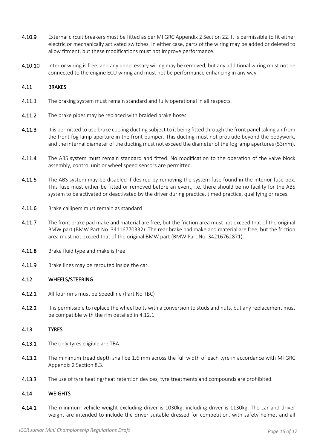- 4.10.9 External circuit breakers must be fitted as per MI GRC Appendix 2 Section 22. It is permissible to fit either electric or mechanically activated switches. In either case, parts of the wiring may be added or deleted to allow fitment, but these modifications must not improve performance.
- 4.10.10 Interior wiring is free, and any unnecessary wiring may be removed, but any additional wiring must not be connected to the engine ECU wiring and must not be performance enhancing in any way.

#### 4.11 BRAKES

- 4.11.1 The braking system must remain standard and fully operational in all respects.
- 4.11.2 The brake pipes may be replaced with braided brake hoses.
- 4.11.3 It is permitted to use brake cooling ducting subject to it being fitted through the front panel taking air from the front fog lamp aperture in the front bumper. This ducting must not protrude beyond the bodywork, and the internal diameter of the ducting must not exceed the diameter of the fog lamp apertures (53mm).
- 4.11.4 The ABS system must remain standard and fitted. No modification to the operation of the valve block assembly, control unit or wheel speed sensors are permitted.
- 4.11.5 The ABS system may be disabled if desired by removing the system fuse found in the interior fuse box. This fuse must either be fitted or removed before an event, i.e. there should be no facility for the ABS system to be activated or deactivated by the driver during practice, timed practice, qualifying or races.
- 4.11.6 Brake callipers must remain as standard
- 4.11.7 The front brake pad make and material are free, but the friction area must not exceed that of the original BMW part (BMW Part No. 34116770332). The rear brake pad make and material are free, but the friction area must not exceed that of the original BMW part (BMW Part No. 34216762871).
- 4.11.8 Brake fluid type and make is free
- **4.11.9** Brake lines may be rerouted inside the car.

#### 4.12 WHEELS/STEERING

- 4.12.1 All four rims must be Speedline (Part No TBC)
- 4.12.2 It is permissible to replace the wheel bolts with a conversion to studs and nuts, but any replacement must be compatible with the rim detailed in 4.12.1

#### 4.13 TYRES

- 4.13.1 The only tyres eligible are TBA.
- 4.13.2 The minimum tread depth shall be 1.6 mm across the full width of each tyre in accordance with MI GRC Appendix 2 Section 8.3.
- 4.13.3 The use of tyre heating/heat retention devices, tyre treatments and compounds are prohibited.

#### 4.14 WEIGHTS

4.14.1 The minimum vehicle weight excluding driver is 1030kg, including driver is 1130kg. The car and driver weight are intended to include the driver suitable dressed for competition, with safety helmet and all